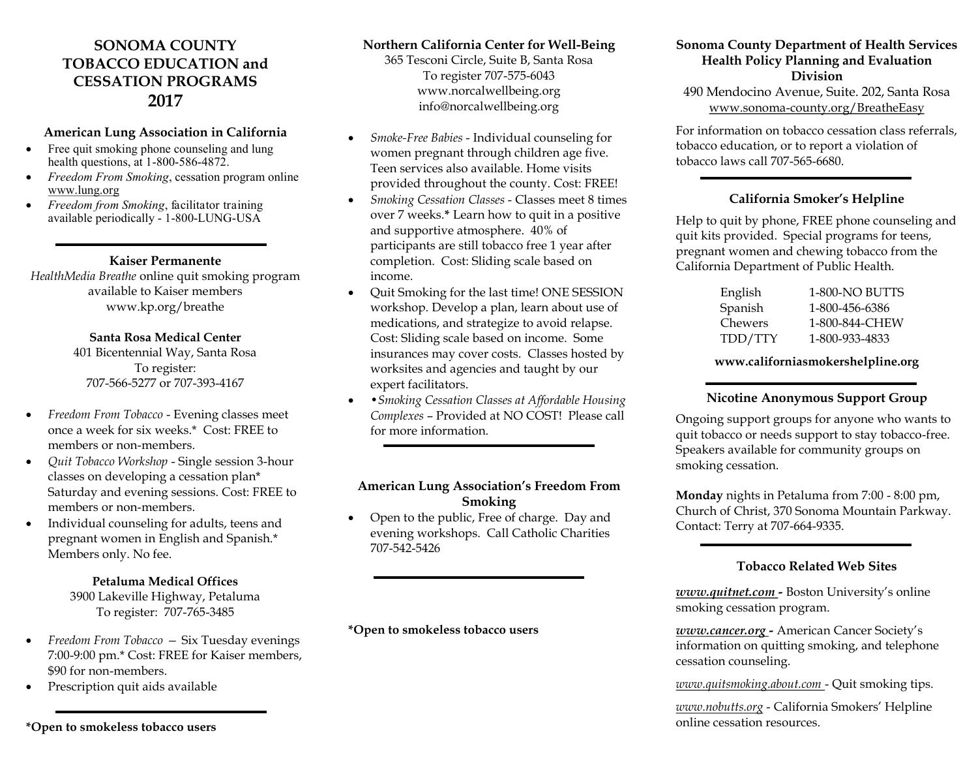# **SONOMA COUNTY TOBACCO EDUCATION and CESSATION PROGRAMS 2017**

#### **American Lung Association in California**

- Free quit smoking phone counseling and lung health questions, at 1-800-586-4872.
- *Freedom From Smoking*, cessation program online www.lung.org
- *Freedom from Smoking*, facilitator training available periodically - 1-800-LUNG-USA

#### **Kaiser Permanente**

*HealthMedia Breathe* online quit smoking program available to Kaiser members www.kp.org/breathe

#### **Santa Rosa Medical Center**

To register: 401 Bicentennial Way, Santa Rosa 707-566-5277 or 707-393-4167

- *Freedom From Tobacco*  Evening classes meet once a week for six weeks.\* Cost: FREE to members or non-members.
- *Quit Tobacco Workshop*  Single session 3-hour classes on developing a cessation plan\* Saturday and evening sessions. Cost: FREE to members or non-members.
- pregnant women in English and Spanish.\* Individual counseling for adults, teens and Members only. No fee.

#### **Petaluma Medical Offices**

 To register: 707-765-3485 3900 Lakeville Highway, Petaluma

- Freedom From Tobacco Six Tuesday evenings 7:00-9:00 pm.\* Cost: FREE for Kaiser members, \$90 for non-members.
- Prescription quit aids available

#### **Northern California Center for Well-Being**

 365 Tesconi Circle, Suite B, Santa Rosa To register 707-575-6043 www.norcalwellbeing.org info@norcalwellbeing.org

- women pregnant through children age five. Teen services also available. Home visits *Smoke-Free Babies* - Individual counseling for provided throughout the county. Cost: FREE!
- over 7 weeks.**\*** Learn how to quit in a positive participants are still tobacco free 1 year after completion. Cost: Sliding scale based on • Smoking Cessation Classes - Classes meet 8 times and supportive atmosphere. 40% of income.
- workshop. Develop a plan, learn about use of medications, and strategize to avoid relapse. Cost: Sliding scale based on income. Some insurances may cover costs. Classes hosted by Quit Smoking for the last time! ONE SESSION worksites and agencies and taught by our expert facilitators.
- •*Smoking Cessation Classes at Affordable Housing Complexes* – Provided at NO COST! Please call for more information.

#### **American Lung Association's Freedom From Smoking**

• Open to the public, Free of charge. Day and evening workshops. Call Catholic Charities 707-542-5426

**\*Open to smokeless tobacco users** 

#### **Sonoma County Department of Health Services Health Policy Planning and Evaluation Division**

490 Mendocino Avenue, Suite. 202, Santa Rosa www.sonoma-county.org/BreatheEasy

 For information on tobacco cessation class referrals, tobacco education, or to report a violation of tobacco laws call 707-565-6680.

#### **California Smoker's Helpline**

 Help to quit by phone, FREE phone counseling and quit kits provided. Special programs for teens, pregnant women and chewing tobacco from the California Department of Public Health.

| English | 1-800-NO BUTTS |
|---------|----------------|
| Spanish | 1-800-456-6386 |
| Chewers | 1-800-844-CHEW |
| TDD/TTY | 1-800-933-4833 |

**www.californiasmokershelpline.org** 

#### **Nicotine Anonymous Support Group**

 Ongoing support groups for anyone who wants to quit tobacco or needs support to stay tobacco-free. Speakers available for community groups on smoking cessation.

 **Monday** nights in Petaluma from 7:00 - 8:00 pm, Church of Christ, 370 Sonoma Mountain Parkway. Contact: Terry at 707-664-9335.

#### **Tobacco Related Web Sites**

*www.quitnet.com -* Boston University's online smoking cessation program.

 information on quitting smoking, and telephone *www.cancer.org -* American Cancer Society's cessation counseling.

*www.quitsmoking.about.com* - Quit smoking tips.

 *www.nobutts.org* - California Smokers' Helpline online cessation resources.

**\*Open to smokeless tobacco users**